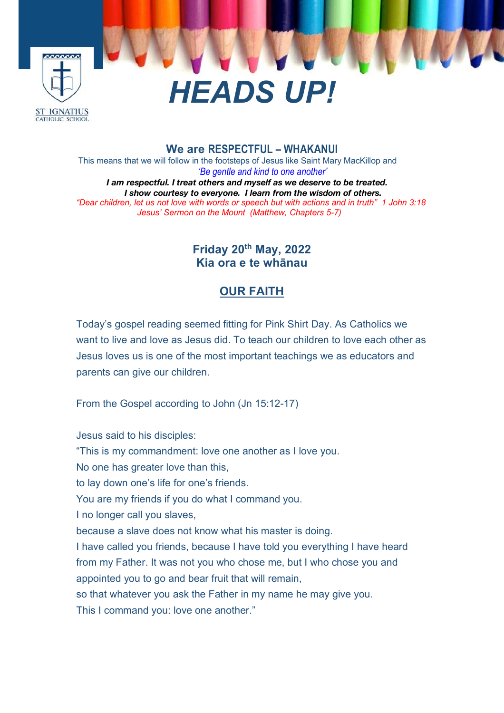

#### **We are RESPECTFUL – WHAKANUI**

This means that we will follow in the footsteps of Jesus like Saint Mary MacKillop and *'Be gentle and kind to one another' I am respectful. I treat others and myself as we deserve to be treated. I show courtesy to everyone. I learn from the wisdom of others. "Dear children, let us not love with words or speech but with actions and in truth" 1 John 3:18 Jesus' Sermon on the Mount (Matthew, Chapters 5-7)*

# **Friday 20th May, 2022 Kia ora e te whānau**

### **OUR FAITH**

Today's gospel reading seemed fitting for Pink Shirt Day. As Catholics we want to live and love as Jesus did. To teach our children to love each other as Jesus loves us is one of the most important teachings we as educators and parents can give our children.

From the Gospel according to John (Jn 15:12-17)

Jesus said to his disciples: "This is my commandment: love one another as I love you. No one has greater love than this, to lay down one's life for one's friends. You are my friends if you do what I command you. I no longer call you slaves, because a slave does not know what his master is doing. I have called you friends, because I have told you everything I have heard from my Father. It was not you who chose me, but I who chose you and appointed you to go and bear fruit that will remain, so that whatever you ask the Father in my name he may give you. This I command you: love one another."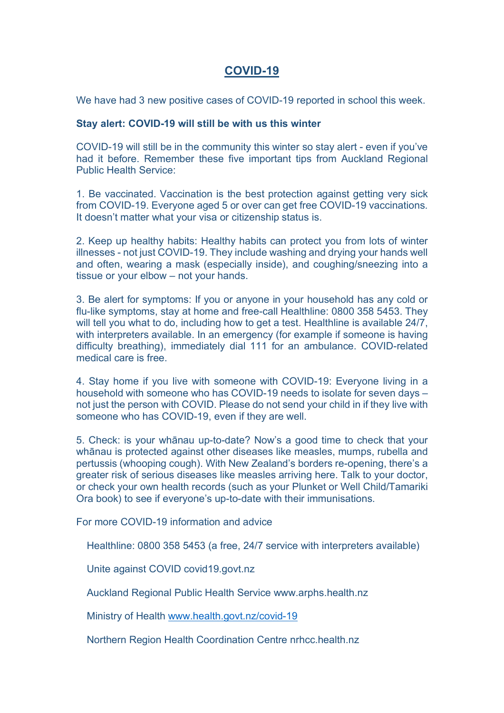## **COVID-19**

We have had 3 new positive cases of COVID-19 reported in school this week.

#### **Stay alert: COVID-19 will still be with us this winter**

COVID-19 will still be in the community this winter so stay alert - even if you've had it before. Remember these five important tips from Auckland Regional Public Health Service:

1. Be vaccinated. Vaccination is the best protection against getting very sick from COVID-19. Everyone aged 5 or over can get free COVID-19 vaccinations. It doesn't matter what your visa or citizenship status is.

2. Keep up healthy habits: Healthy habits can protect you from lots of winter illnesses - not just COVID-19. They include washing and drying your hands well and often, wearing a mask (especially inside), and coughing/sneezing into a tissue or your elbow – not your hands.

3. Be alert for symptoms: If you or anyone in your household has any cold or flu-like symptoms, stay at home and free-call Healthline: 0800 358 5453. They will tell you what to do, including how to get a test. Healthline is available 24/7, with interpreters available. In an emergency (for example if someone is having difficulty breathing), immediately dial 111 for an ambulance. COVID-related medical care is free.

4. Stay home if you live with someone with COVID-19: Everyone living in a household with someone who has COVID-19 needs to isolate for seven days – not just the person with COVID. Please do not send your child in if they live with someone who has COVID-19, even if they are well.

5. Check: is your whānau up-to-date? Now's a good time to check that your whānau is protected against other diseases like measles, mumps, rubella and pertussis (whooping cough). With New Zealand's borders re-opening, there's a greater risk of serious diseases like measles arriving here. Talk to your doctor, or check your own health records (such as your Plunket or Well Child/Tamariki Ora book) to see if everyone's up-to-date with their immunisations.

For more COVID-19 information and advice

Healthline: 0800 358 5453 (a free, 24/7 service with interpreters available)

Unite against COVID covid19.govt.nz

Auckland Regional Public Health Service www.arphs.health.nz

Ministry of Health www.health.govt.nz/covid-19

Northern Region Health Coordination Centre nrhcc.health.nz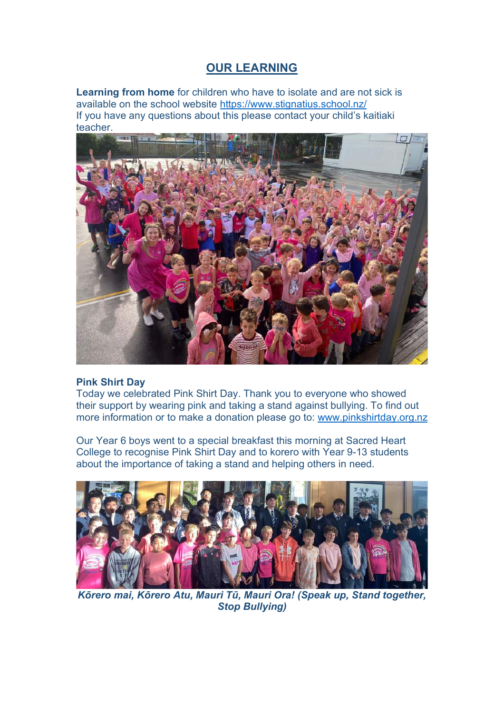# **OUR LEARNING**

**Learning from home** for children who have to isolate and are not sick is available on the school website https://www.stignatius.school.nz/ If you have any questions about this please contact your child's kaitiaki teacher.



#### **Pink Shirt Day**

Today we celebrated Pink Shirt Day. Thank you to everyone who showed their support by wearing pink and taking a stand against bullying. To find out more information or to make a donation please go to: www.pinkshirtday.org.nz

Our Year 6 boys went to a special breakfast this morning at Sacred Heart College to recognise Pink Shirt Day and to korero with Year 9-13 students about the importance of taking a stand and helping others in need.



*Kōrero mai, Kōrero Atu, Mauri Tū, Mauri Ora! (Speak up, Stand together, Stop Bullying)*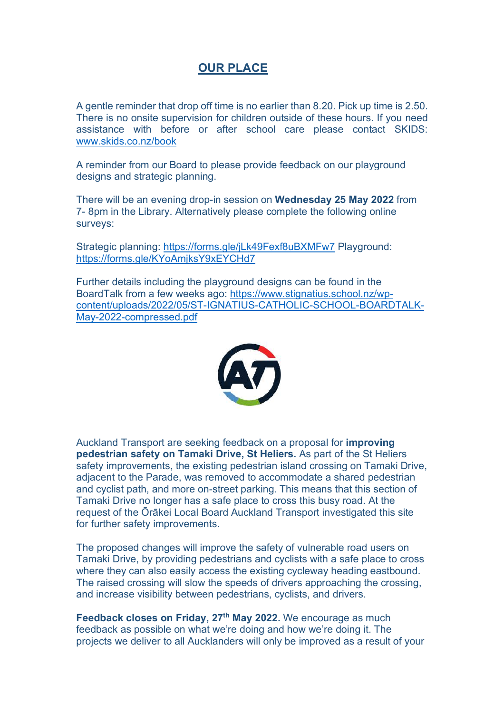# **OUR PLACE**

A gentle reminder that drop off time is no earlier than 8.20. Pick up time is 2.50. There is no onsite supervision for children outside of these hours. If you need assistance with before or after school care please contact SKIDS: www.skids.co.nz/book

A reminder from our Board to please provide feedback on our playground designs and strategic planning.

There will be an evening drop-in session on **Wednesday 25 May 2022** from 7- 8pm in the Library. Alternatively please complete the following online surveys:

Strategic planning: https://forms.gle/iLk49Fexf8uBXMFw7 Playground: https://forms.gle/KYoAmjksY9xEYCHd7

Further details including the playground designs can be found in the BoardTalk from a few weeks ago: https://www.stignatius.school.nz/wpcontent/uploads/2022/05/ST-IGNATIUS-CATHOLIC-SCHOOL-BOARDTALK-May-2022-compressed.pdf



Auckland Transport are seeking feedback on a proposal for **improving pedestrian safety on Tamaki Drive, St Heliers.** As part of the St Heliers safety improvements, the existing pedestrian island crossing on Tamaki Drive, adjacent to the Parade, was removed to accommodate a shared pedestrian and cyclist path, and more on-street parking. This means that this section of Tamaki Drive no longer has a safe place to cross this busy road. At the request of the Ōrākei Local Board Auckland Transport investigated this site for further safety improvements.

The proposed changes will improve the safety of vulnerable road users on Tamaki Drive, by providing pedestrians and cyclists with a safe place to cross where they can also easily access the existing cycleway heading eastbound. The raised crossing will slow the speeds of drivers approaching the crossing, and increase visibility between pedestrians, cyclists, and drivers.

**Feedback closes on Friday, 27<sup>th</sup> May 2022.** We encourage as much feedback as possible on what we're doing and how we're doing it. The projects we deliver to all Aucklanders will only be improved as a result of your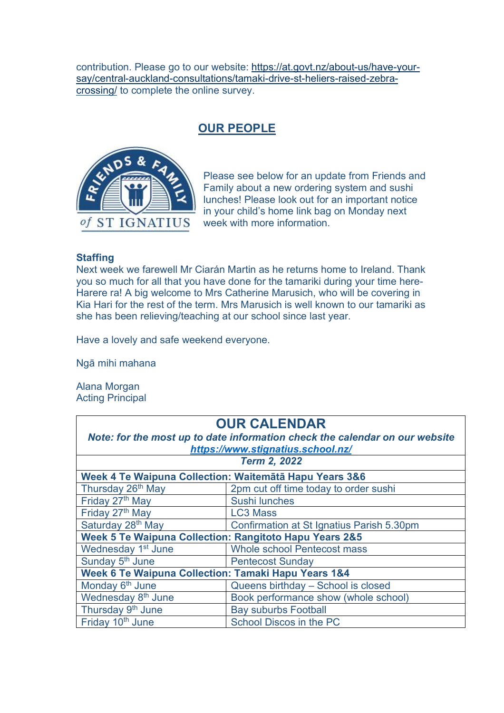contribution. Please go to our website: https://at.govt.nz/about-us/have-yoursay/central-auckland-consultations/tamaki-drive-st-heliers-raised-zebracrossing/ to complete the online survey.

## **OUR PEOPLE**



Please see below for an update from Friends and Family about a new ordering system and sushi lunches! Please look out for an important notice in your child's home link bag on Monday next week with more information.

#### **Staffing**

Next week we farewell Mr Ciarán Martin as he returns home to Ireland. Thank you so much for all that you have done for the tamariki during your time here-Harere ra! A big welcome to Mrs Catherine Marusich, who will be covering in Kia Hari for the rest of the term. Mrs Marusich is well known to our tamariki as she has been relieving/teaching at our school since last year.

Have a lovely and safe weekend everyone.

Ngā mihi mahana

Alana Morgan Acting Principal

| <b>OUR CALENDAR</b>                                                         |                                           |
|-----------------------------------------------------------------------------|-------------------------------------------|
| Note: for the most up to date information check the calendar on our website |                                           |
| https://www.stignatius.school.nz/                                           |                                           |
| <b>Term 2, 2022</b>                                                         |                                           |
| Week 4 Te Waipuna Collection: Waitemātā Hapu Years 3&6                      |                                           |
| Thursday 26 <sup>th</sup> May                                               | 2pm cut off time today to order sushi     |
| Friday 27th May                                                             | <b>Sushi lunches</b>                      |
| Friday 27 <sup>th</sup> May                                                 | <b>LC3 Mass</b>                           |
| Saturday 28th May                                                           | Confirmation at St Ignatius Parish 5.30pm |
| Week 5 Te Waipuna Collection: Rangitoto Hapu Years 2&5                      |                                           |
| Wednesday 1 <sup>st</sup> June                                              | <b>Whole school Pentecost mass</b>        |
| Sunday 5 <sup>th</sup> June                                                 | <b>Pentecost Sunday</b>                   |
| Week 6 Te Waipuna Collection: Tamaki Hapu Years 1&4                         |                                           |
| Monday 6 <sup>th</sup> June                                                 | Queens birthday - School is closed        |
| Wednesday 8 <sup>th</sup> June                                              | Book performance show (whole school)      |
| Thursday 9 <sup>th</sup> June                                               | <b>Bay suburbs Football</b>               |
| Friday 10 <sup>th</sup> June                                                | School Discos in the PC                   |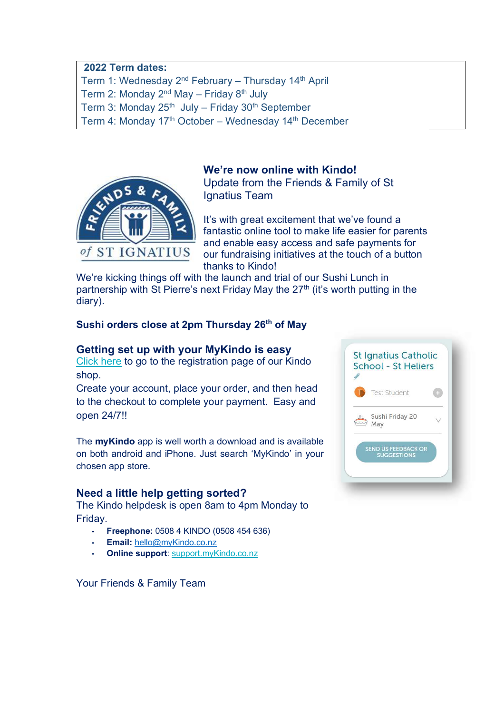#### **2022 Term dates:**

Term 1: Wednesday 2<sup>nd</sup> February – Thursday 14<sup>th</sup> April

Term 2: Monday  $2^{nd}$  May – Friday  $8^{th}$  July

Term 3: Monday  $25<sup>th</sup>$  July – Friday  $30<sup>th</sup>$  September

Term 4: Monday 17<sup>th</sup> October – Wednesday 14<sup>th</sup> December



#### **We're now online with Kindo!**

Update from the Friends & Family of St Ignatius Team

It's with great excitement that we've found a fantastic online tool to make life easier for parents and enable easy access and safe payments for our fundraising initiatives at the touch of a button thanks to Kindo!

We're kicking things off with the launch and trial of our Sushi Lunch in partnership with St Pierre's next Friday May the 27<sup>th</sup> (it's worth putting in the diary).

#### **Sushi orders close at 2pm Thursday 26th of May**

#### **Getting set up with your MyKindo is easy**

Click here to go to the registration page of our Kindo shop.

Create your account, place your order, and then head to the checkout to complete your payment. Easy and open 24/7!!

The **myKindo** app is well worth a download and is available on both android and iPhone. Just search 'MyKindo' in your chosen app store.

#### **Need a little help getting sorted?**

The Kindo helpdesk is open 8am to 4pm Monday to Friday.

- **- Freephone:** 0508 4 KINDO (0508 454 636)
- **- Email:** hello@myKindo.co.nz
- **- Online support**: support.myKindo.co.nz

Your Friends & Family Team

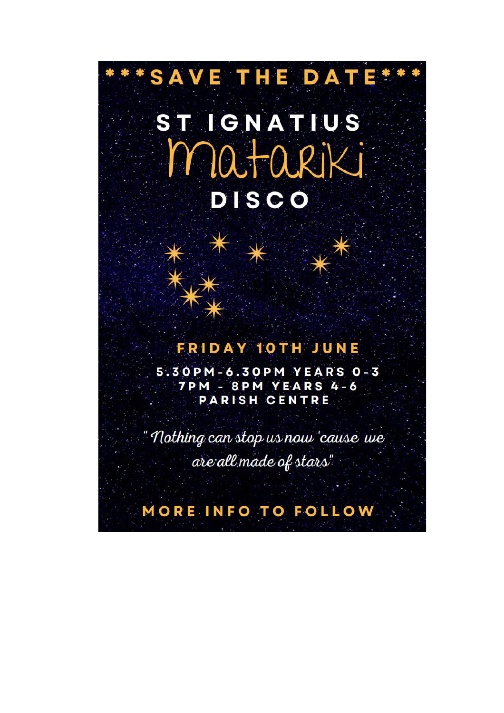# SAVE THE DATE\* ST IGNATIUS matariki **DISCO**

# **FRIDAY 10TH JUNE**

5.30PM-6.30PM YEARS 0-3 **7PM - 8PM YEARS 4-6 PARISH CENTRE** 

"Nothing can stop us now 'cause we are all made of stars"

# MORE INFO TO FOLLOW